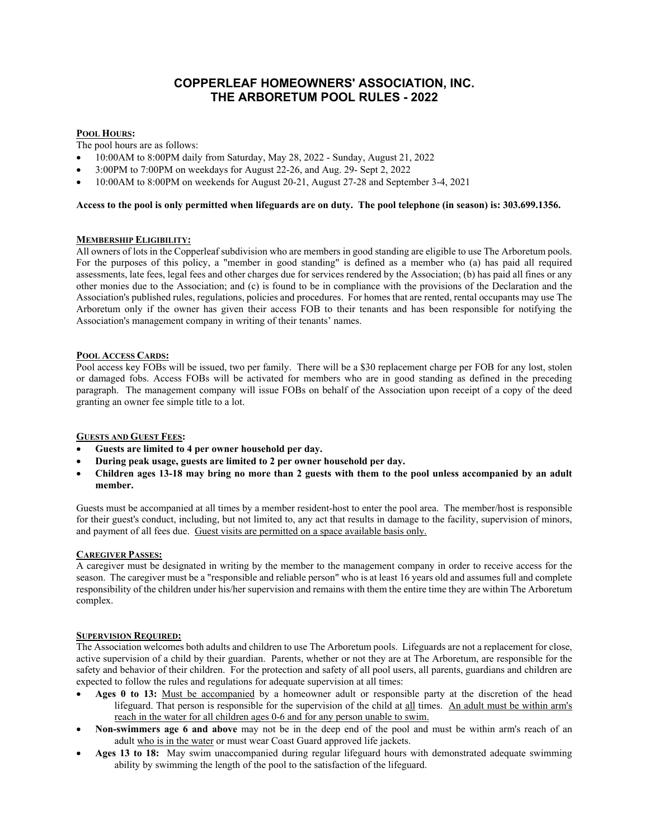# **COPPERLEAF HOMEOWNERS' ASSOCIATION, INC. THE ARBORETUM POOL RULES - 2022**

# **POOL HOURS:**

The pool hours are as follows:

- 10:00AM to 8:00PM daily from Saturday, May 28, 2022 Sunday, August 21, 2022
- 3:00PM to 7:00PM on weekdays for August 22-26, and Aug. 29- Sept 2, 2022
- 10:00AM to 8:00PM on weekends for August 20-21, August 27-28 and September 3-4, 2021

## **Access to the pool is only permitted when lifeguards are on duty. The pool telephone (in season) is: 303.699.1356.**

## **MEMBERSHIP ELIGIBILITY:**

All owners of lots in the Copperleaf subdivision who are members in good standing are eligible to use The Arboretum pools. For the purposes of this policy, a "member in good standing" is defined as a member who (a) has paid all required assessments, late fees, legal fees and other charges due for services rendered by the Association; (b) has paid all fines or any other monies due to the Association; and (c) is found to be in compliance with the provisions of the Declaration and the Association's published rules, regulations, policies and procedures. For homes that are rented, rental occupants may use The Arboretum only if the owner has given their access FOB to their tenants and has been responsible for notifying the Association's management company in writing of their tenants' names.

## **POOL ACCESS CARDS:**

Pool access key FOBs will be issued, two per family. There will be a \$30 replacement charge per FOB for any lost, stolen or damaged fobs. Access FOBs will be activated for members who are in good standing as defined in the preceding paragraph. The management company will issue FOBs on behalf of the Association upon receipt of a copy of the deed granting an owner fee simple title to a lot.

# **GUESTS AND GUEST FEES:**

- **Guests are limited to 4 per owner household per day.**
- **During peak usage, guests are limited to 2 per owner household per day.**
- **Children ages 13-18 may bring no more than 2 guests with them to the pool unless accompanied by an adult member.**

Guests must be accompanied at all times by a member resident-host to enter the pool area. The member/host is responsible for their guest's conduct, including, but not limited to, any act that results in damage to the facility, supervision of minors, and payment of all fees due. Guest visits are permitted on a space available basis only.

#### **CAREGIVER PASSES:**

A caregiver must be designated in writing by the member to the management company in order to receive access for the season. The caregiver must be a "responsible and reliable person" who is at least 16 years old and assumes full and complete responsibility of the children under his/her supervision and remains with them the entire time they are within The Arboretum complex.

# **SUPERVISION REQUIRED:**

The Association welcomes both adults and children to use The Arboretum pools. Lifeguards are not a replacement for close, active supervision of a child by their guardian. Parents, whether or not they are at The Arboretum, are responsible for the safety and behavior of their children. For the protection and safety of all pool users, all parents, guardians and children are expected to follow the rules and regulations for adequate supervision at all times:

- **Ages 0 to 13:** Must be accompanied by a homeowner adult or responsible party at the discretion of the head lifeguard. That person is responsible for the supervision of the child at all times. An adult must be within arm's reach in the water for all children ages 0-6 and for any person unable to swim.
- **Non-swimmers age 6 and above** may not be in the deep end of the pool and must be within arm's reach of an adult who is in the water or must wear Coast Guard approved life jackets.
- **Ages 13 to 18:** May swim unaccompanied during regular lifeguard hours with demonstrated adequate swimming ability by swimming the length of the pool to the satisfaction of the lifeguard.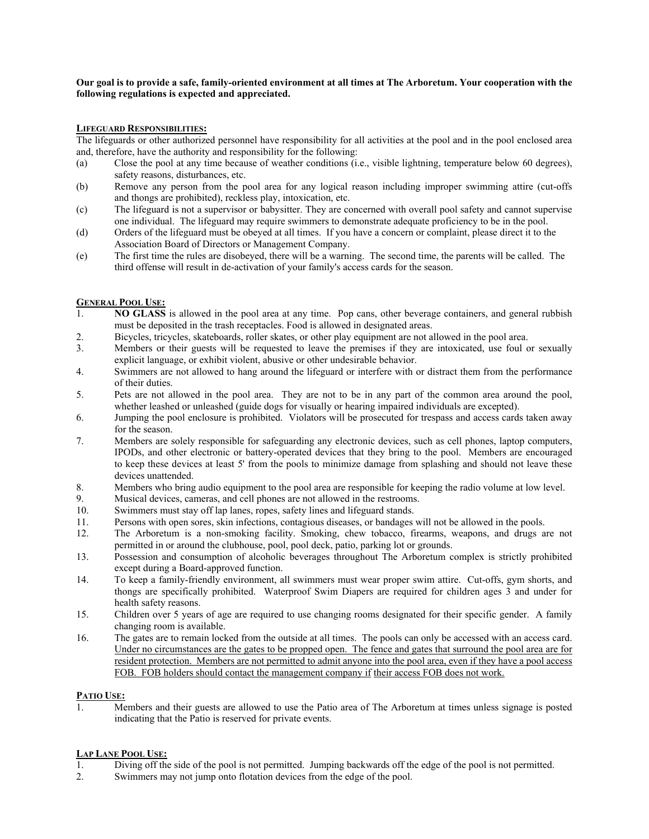#### **Our goal is to provide a safe, family-oriented environment at all times at The Arboretum. Your cooperation with the following regulations is expected and appreciated.**

#### **LIFEGUARD RESPONSIBILITIES:**

The lifeguards or other authorized personnel have responsibility for all activities at the pool and in the pool enclosed area and, therefore, have the authority and responsibility for the following:

- (a) Close the pool at any time because of weather conditions (i.e., visible lightning, temperature below 60 degrees), safety reasons, disturbances, etc.
- (b) Remove any person from the pool area for any logical reason including improper swimming attire (cut-offs and thongs are prohibited), reckless play, intoxication, etc.
- (c) The lifeguard is not a supervisor or babysitter. They are concerned with overall pool safety and cannot supervise one individual. The lifeguard may require swimmers to demonstrate adequate proficiency to be in the pool.
- (d) Orders of the lifeguard must be obeyed at all times. If you have a concern or complaint, please direct it to the Association Board of Directors or Management Company.
- (e) The first time the rules are disobeyed, there will be a warning. The second time, the parents will be called. The third offense will result in de-activation of your family's access cards for the season.

## **GENERAL POOL USE:**

- 1. **NO GLASS** is allowed in the pool area at any time. Pop cans, other beverage containers, and general rubbish must be deposited in the trash receptacles. Food is allowed in designated areas.
- 2. Bicycles, tricycles, skateboards, roller skates, or other play equipment are not allowed in the pool area.
- 3. Members or their guests will be requested to leave the premises if they are intoxicated, use foul or sexually explicit language, or exhibit violent, abusive or other undesirable behavior.
- 4. Swimmers are not allowed to hang around the lifeguard or interfere with or distract them from the performance of their duties.
- 5. Pets are not allowed in the pool area. They are not to be in any part of the common area around the pool, whether leashed or unleashed (guide dogs for visually or hearing impaired individuals are excepted).
- 6. Jumping the pool enclosure is prohibited. Violators will be prosecuted for trespass and access cards taken away for the season.
- 7. Members are solely responsible for safeguarding any electronic devices, such as cell phones, laptop computers, IPODs, and other electronic or battery-operated devices that they bring to the pool. Members are encouraged to keep these devices at least 5' from the pools to minimize damage from splashing and should not leave these devices unattended.
- 8. Members who bring audio equipment to the pool area are responsible for keeping the radio volume at low level.
- 9. Musical devices, cameras, and cell phones are not allowed in the restrooms.
- 10. Swimmers must stay off lap lanes, ropes, safety lines and lifeguard stands.
- 11. Persons with open sores, skin infections, contagious diseases, or bandages will not be allowed in the pools.
- 12. The Arboretum is a non-smoking facility. Smoking, chew tobacco, firearms, weapons, and drugs are not permitted in or around the clubhouse, pool, pool deck, patio, parking lot or grounds.
- 13. Possession and consumption of alcoholic beverages throughout The Arboretum complex is strictly prohibited except during a Board-approved function.
- 14. To keep a family-friendly environment, all swimmers must wear proper swim attire. Cut-offs, gym shorts, and thongs are specifically prohibited. Waterproof Swim Diapers are required for children ages 3 and under for health safety reasons.
- 15. Children over 5 years of age are required to use changing rooms designated for their specific gender. A family changing room is available.
- 16. The gates are to remain locked from the outside at all times. The pools can only be accessed with an access card. Under no circumstances are the gates to be propped open. The fence and gates that surround the pool area are for resident protection. Members are not permitted to admit anyone into the pool area, even if they have a pool access FOB. FOB holders should contact the management company if their access FOB does not work.

# **PATIO USE:**

1. Members and their guests are allowed to use the Patio area of The Arboretum at times unless signage is posted indicating that the Patio is reserved for private events.

# **LAP LANE POOL USE:**

- 1. Diving off the side of the pool is not permitted. Jumping backwards off the edge of the pool is not permitted.
- 2. Swimmers may not jump onto flotation devices from the edge of the pool.